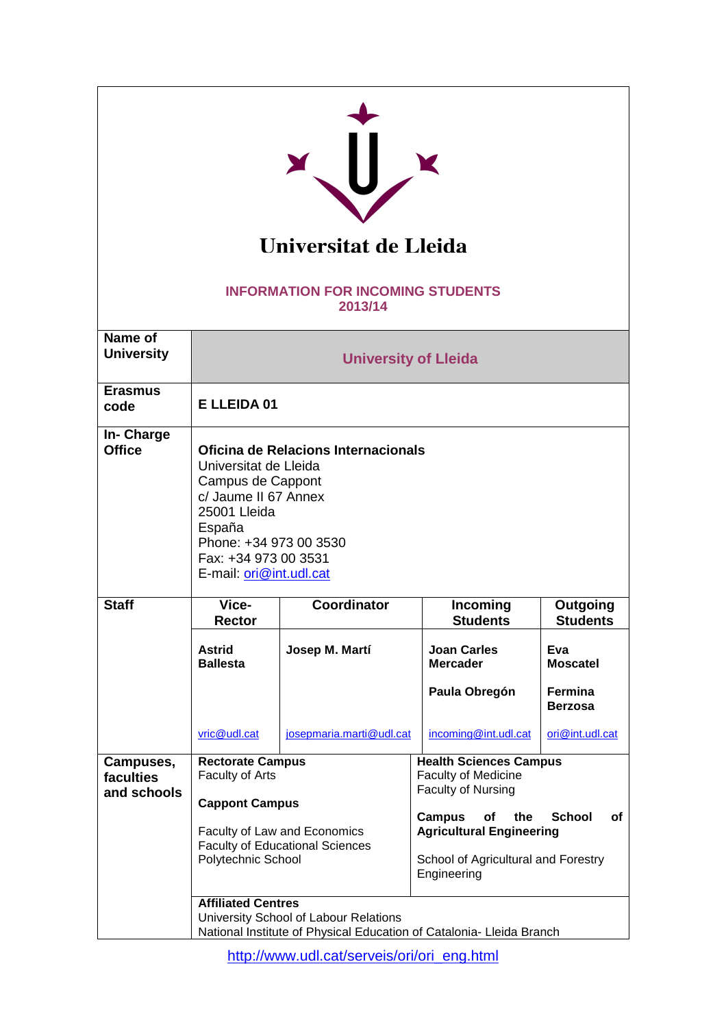| Universitat de Lleida<br><b>INFORMATION FOR INCOMING STUDENTS</b><br>2013/14 |                                                                                                                                                                                                                         |                          |                                                                                                                                                                                                           |                                       |                             |  |
|------------------------------------------------------------------------------|-------------------------------------------------------------------------------------------------------------------------------------------------------------------------------------------------------------------------|--------------------------|-----------------------------------------------------------------------------------------------------------------------------------------------------------------------------------------------------------|---------------------------------------|-----------------------------|--|
| Name of<br><b>University</b>                                                 | <b>University of Lleida</b>                                                                                                                                                                                             |                          |                                                                                                                                                                                                           |                                       |                             |  |
| <b>Erasmus</b><br>code                                                       | E LLEIDA 01                                                                                                                                                                                                             |                          |                                                                                                                                                                                                           |                                       |                             |  |
| In- Charge<br><b>Office</b>                                                  | Oficina de Relacions Internacionals<br>Universitat de Lleida<br>Campus de Cappont<br>c/ Jaume II 67 Annex<br>25001 Lleida<br>España<br>Phone: +34 973 00 3530<br>Fax: +34 973 00 3531<br>E-mail: <i>ori@int.udl.cat</i> |                          |                                                                                                                                                                                                           |                                       |                             |  |
| <b>Staff</b>                                                                 | Vice-<br>Rector                                                                                                                                                                                                         | Coordinator              |                                                                                                                                                                                                           | Incoming<br><b>Students</b>           | Outgoing<br><b>Students</b> |  |
|                                                                              | <b>Astrid</b><br><b>Ballesta</b>                                                                                                                                                                                        | Josep M. Martí           |                                                                                                                                                                                                           | <b>Joan Carles</b><br><b>Mercader</b> | Eva<br><b>Moscatel</b>      |  |
|                                                                              |                                                                                                                                                                                                                         |                          |                                                                                                                                                                                                           | Paula Obregón                         | Fermina<br><b>Berzosa</b>   |  |
|                                                                              | vric@udl.cat                                                                                                                                                                                                            | josepmaria.marti@udl.cat |                                                                                                                                                                                                           | incoming@int.udl.cat                  | ori@int.udl.cat             |  |
| Campuses,<br>faculties<br>and schools                                        | <b>Rectorate Campus</b><br>Faculty of Arts<br><b>Cappont Campus</b><br>Faculty of Law and Economics<br><b>Faculty of Educational Sciences</b>                                                                           |                          | <b>Health Sciences Campus</b><br><b>Faculty of Medicine</b><br>Faculty of Nursing<br>Campus<br><b>School</b><br>οf<br>the<br>оf<br><b>Agricultural Engineering</b><br>School of Agricultural and Forestry |                                       |                             |  |
|                                                                              | Polytechnic School<br>Engineering<br><b>Affiliated Centres</b><br>University School of Labour Relations<br>National Institute of Physical Education of Catalonia- Lleida Branch                                         |                          |                                                                                                                                                                                                           |                                       |                             |  |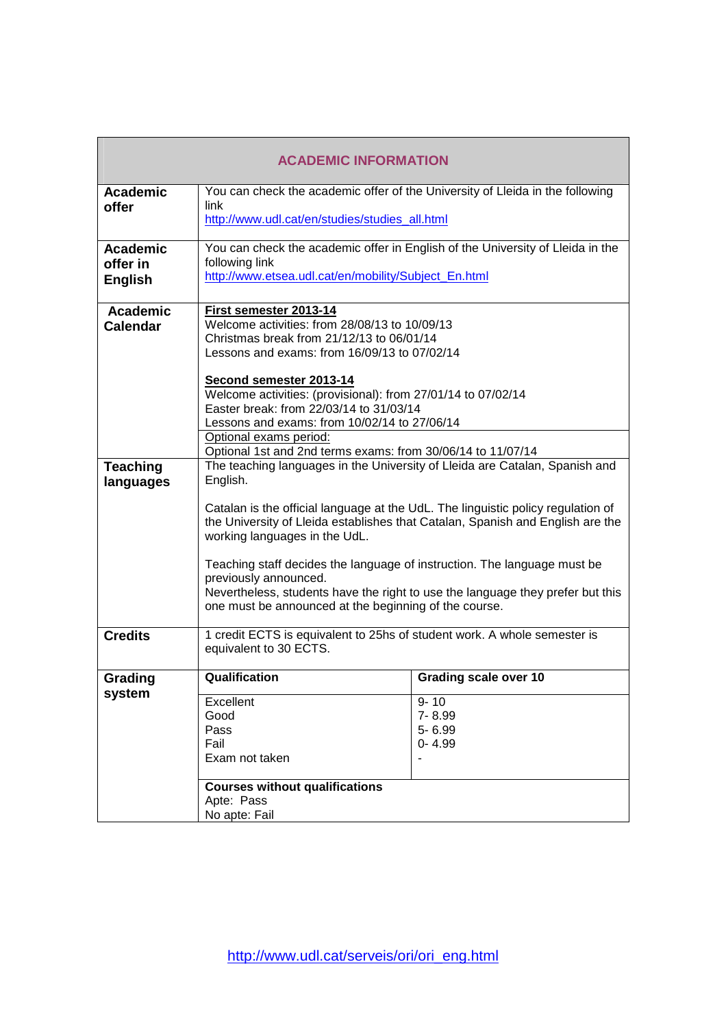| <b>ACADEMIC INFORMATION</b> |                                                                                                                                         |                              |  |  |
|-----------------------------|-----------------------------------------------------------------------------------------------------------------------------------------|------------------------------|--|--|
| <b>Academic</b>             | You can check the academic offer of the University of Lleida in the following                                                           |                              |  |  |
| offer                       | link                                                                                                                                    |                              |  |  |
|                             | http://www.udl.cat/en/studies/studies_all.html                                                                                          |                              |  |  |
| <b>Academic</b>             | You can check the academic offer in English of the University of Lleida in the                                                          |                              |  |  |
| offer in                    | following link                                                                                                                          |                              |  |  |
| <b>English</b>              | http://www.etsea.udl.cat/en/mobility/Subject_En.html                                                                                    |                              |  |  |
| <b>Academic</b>             | First semester 2013-14                                                                                                                  |                              |  |  |
| <b>Calendar</b>             | Welcome activities: from 28/08/13 to 10/09/13                                                                                           |                              |  |  |
|                             | Christmas break from 21/12/13 to 06/01/14                                                                                               |                              |  |  |
|                             | Lessons and exams: from 16/09/13 to 07/02/14                                                                                            |                              |  |  |
|                             | Second semester 2013-14                                                                                                                 |                              |  |  |
|                             | Welcome activities: (provisional): from 27/01/14 to 07/02/14                                                                            |                              |  |  |
|                             | Easter break: from 22/03/14 to 31/03/14                                                                                                 |                              |  |  |
|                             | Lessons and exams: from 10/02/14 to 27/06/14                                                                                            |                              |  |  |
|                             | Optional exams period:                                                                                                                  |                              |  |  |
|                             | Optional 1st and 2nd terms exams: from 30/06/14 to 11/07/14                                                                             |                              |  |  |
| <b>Teaching</b>             | The teaching languages in the University of Lleida are Catalan, Spanish and                                                             |                              |  |  |
| languages                   | English.                                                                                                                                |                              |  |  |
|                             | Catalan is the official language at the UdL. The linguistic policy regulation of                                                        |                              |  |  |
|                             | the University of Lleida establishes that Catalan, Spanish and English are the<br>working languages in the UdL.                         |                              |  |  |
|                             | Teaching staff decides the language of instruction. The language must be                                                                |                              |  |  |
|                             | previously announced.                                                                                                                   |                              |  |  |
|                             | Nevertheless, students have the right to use the language they prefer but this<br>one must be announced at the beginning of the course. |                              |  |  |
|                             |                                                                                                                                         |                              |  |  |
| <b>Credits</b>              | 1 credit ECTS is equivalent to 25hs of student work. A whole semester is<br>equivalent to 30 ECTS.                                      |                              |  |  |
| Grading                     | Qualification                                                                                                                           | <b>Grading scale over 10</b> |  |  |
| system                      |                                                                                                                                         |                              |  |  |
|                             | Excellent                                                                                                                               | $9 - 10$                     |  |  |
|                             | Good                                                                                                                                    | 7-8.99                       |  |  |
|                             | Pass<br>Fail                                                                                                                            | 5-6.99                       |  |  |
|                             | Exam not taken                                                                                                                          | $0 - 4.99$                   |  |  |
|                             |                                                                                                                                         |                              |  |  |
|                             | <b>Courses without qualifications</b>                                                                                                   |                              |  |  |
|                             | Apte: Pass                                                                                                                              |                              |  |  |
|                             | No apte: Fail                                                                                                                           |                              |  |  |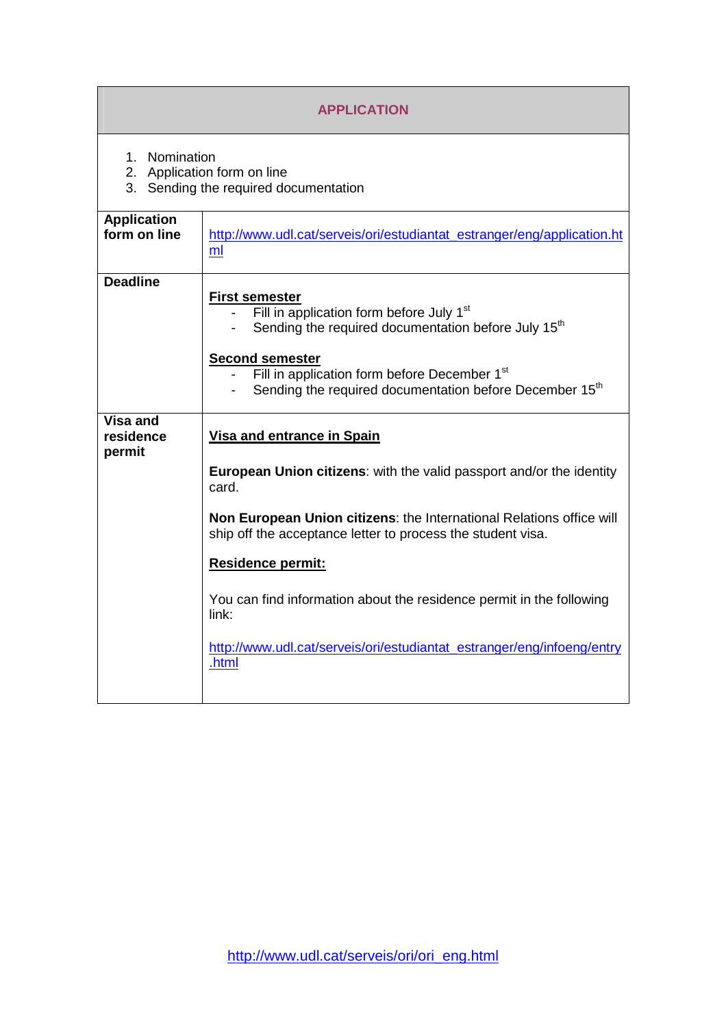| <b>APPLICATION</b>                                                                    |                                                                                                                                                                                                                                                                                                                                                                                                                                                                  |  |  |  |
|---------------------------------------------------------------------------------------|------------------------------------------------------------------------------------------------------------------------------------------------------------------------------------------------------------------------------------------------------------------------------------------------------------------------------------------------------------------------------------------------------------------------------------------------------------------|--|--|--|
| 1. Nomination<br>2. Application form on line<br>3. Sending the required documentation |                                                                                                                                                                                                                                                                                                                                                                                                                                                                  |  |  |  |
| <b>Application</b><br>form on line                                                    | http://www.udl.cat/serveis/ori/estudiantat_estranger/eng/application.ht<br>ml                                                                                                                                                                                                                                                                                                                                                                                    |  |  |  |
| <b>Deadline</b>                                                                       | <b>First semester</b><br>Fill in application form before July 1 <sup>st</sup><br>Sending the required documentation before July 15 <sup>th</sup><br><b>Second semester</b><br>Fill in application form before December 1 <sup>st</sup><br>Sending the required documentation before December 15 <sup>th</sup>                                                                                                                                                    |  |  |  |
| Visa and<br>residence<br>permit                                                       | <b>Visa and entrance in Spain</b><br><b>European Union citizens:</b> with the valid passport and/or the identity<br>card.<br>Non European Union citizens: the International Relations office will<br>ship off the acceptance letter to process the student visa.<br><b>Residence permit:</b><br>You can find information about the residence permit in the following<br>link:<br>http://www.udl.cat/serveis/ori/estudiantat_estranger/eng/infoeng/entry<br>.html |  |  |  |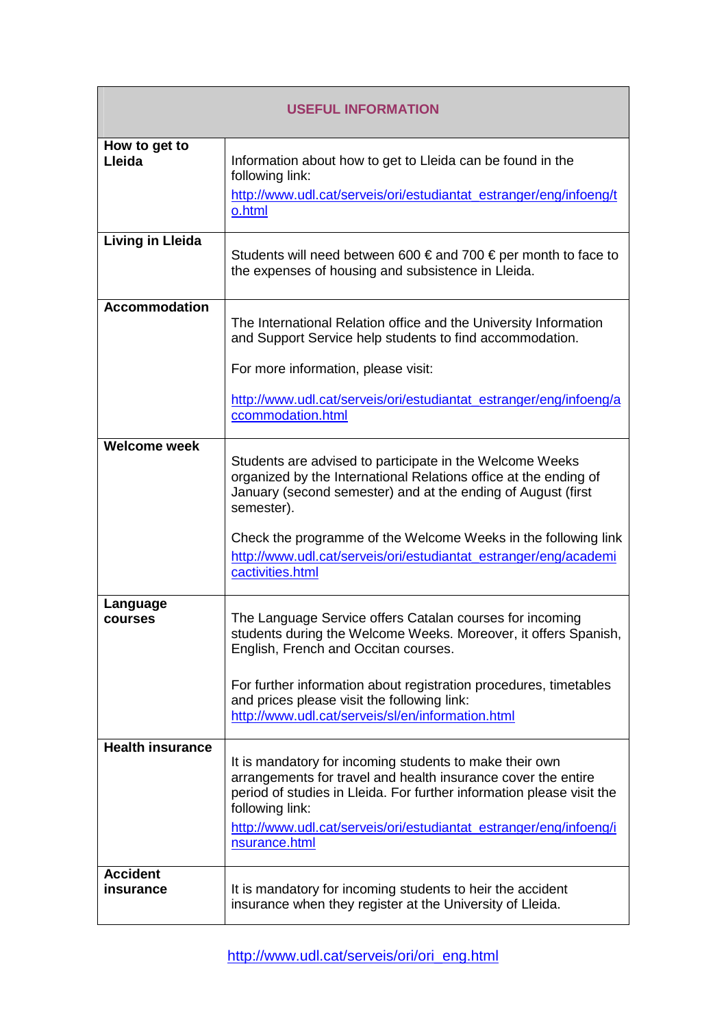| <b>USEFUL INFORMATION</b>    |                                                                                                                                                                                                                                                                                                                                                                      |  |  |
|------------------------------|----------------------------------------------------------------------------------------------------------------------------------------------------------------------------------------------------------------------------------------------------------------------------------------------------------------------------------------------------------------------|--|--|
| How to get to<br>Lleida      | Information about how to get to Lleida can be found in the<br>following link:<br>http://www.udl.cat/serveis/ori/estudiantat_estranger/eng/infoeng/t<br>o.html                                                                                                                                                                                                        |  |  |
| <b>Living in Lleida</b>      | Students will need between 600 € and 700 € per month to face to<br>the expenses of housing and subsistence in Lleida.                                                                                                                                                                                                                                                |  |  |
| <b>Accommodation</b>         | The International Relation office and the University Information<br>and Support Service help students to find accommodation.<br>For more information, please visit:<br>http://www.udl.cat/serveis/ori/estudiantat_estranger/eng/infoeng/a<br>ccommodation.html                                                                                                       |  |  |
| <b>Welcome week</b>          | Students are advised to participate in the Welcome Weeks<br>organized by the International Relations office at the ending of<br>January (second semester) and at the ending of August (first<br>semester).<br>Check the programme of the Welcome Weeks in the following link<br>http://www.udl.cat/serveis/ori/estudiantat_estranger/eng/academi<br>cactivities.html |  |  |
| Language<br><b>courses</b>   | The Language Service offers Catalan courses for incoming<br>students during the Welcome Weeks. Moreover, it offers Spanish,<br>English, French and Occitan courses.<br>For further information about registration procedures, timetables<br>and prices please visit the following link:<br>http://www.udl.cat/serveis/sl/en/information.html                         |  |  |
| <b>Health insurance</b>      | It is mandatory for incoming students to make their own<br>arrangements for travel and health insurance cover the entire<br>period of studies in Lleida. For further information please visit the<br>following link:<br>http://www.udl.cat/serveis/ori/estudiantat_estranger/eng/infoeng/i<br>nsurance.html                                                          |  |  |
| <b>Accident</b><br>insurance | It is mandatory for incoming students to heir the accident<br>insurance when they register at the University of Lleida.                                                                                                                                                                                                                                              |  |  |